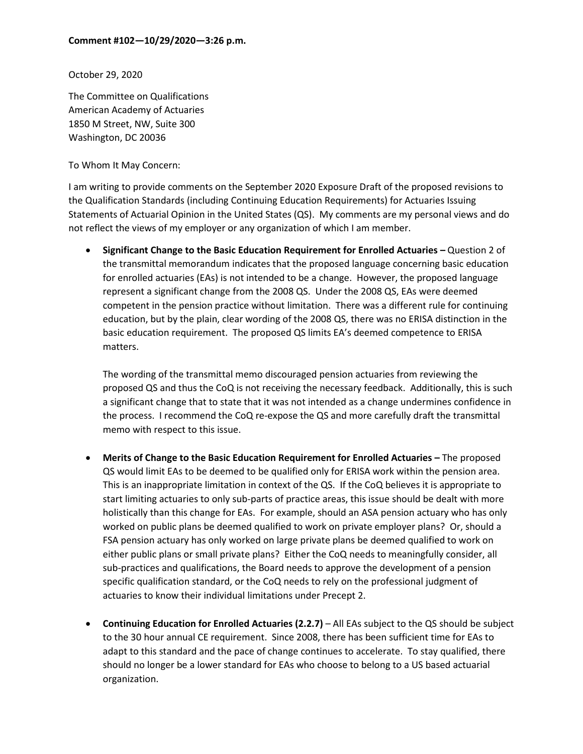October 29, 2020

The Committee on Qualifications American Academy of Actuaries 1850 M Street, NW, Suite 300 Washington, DC 20036

To Whom It May Concern:

I am writing to provide comments on the September 2020 Exposure Draft of the proposed revisions to the Qualification Standards (including Continuing Education Requirements) for Actuaries Issuing Statements of Actuarial Opinion in the United States (QS). My comments are my personal views and do not reflect the views of my employer or any organization of which I am member.

• **Significant Change to the Basic Education Requirement for Enrolled Actuaries –** Question 2 of the transmittal memorandum indicates that the proposed language concerning basic education for enrolled actuaries (EAs) is not intended to be a change. However, the proposed language represent a significant change from the 2008 QS. Under the 2008 QS, EAs were deemed competent in the pension practice without limitation. There was a different rule for continuing education, but by the plain, clear wording of the 2008 QS, there was no ERISA distinction in the basic education requirement. The proposed QS limits EA's deemed competence to ERISA matters.

The wording of the transmittal memo discouraged pension actuaries from reviewing the proposed QS and thus the CoQ is not receiving the necessary feedback. Additionally, this is such a significant change that to state that it was not intended as a change undermines confidence in the process. I recommend the CoQ re-expose the QS and more carefully draft the transmittal memo with respect to this issue.

- **Merits of Change to the Basic Education Requirement for Enrolled Actuaries –** The proposed QS would limit EAs to be deemed to be qualified only for ERISA work within the pension area. This is an inappropriate limitation in context of the QS. If the CoQ believes it is appropriate to start limiting actuaries to only sub-parts of practice areas, this issue should be dealt with more holistically than this change for EAs. For example, should an ASA pension actuary who has only worked on public plans be deemed qualified to work on private employer plans? Or, should a FSA pension actuary has only worked on large private plans be deemed qualified to work on either public plans or small private plans? Either the CoQ needs to meaningfully consider, all sub-practices and qualifications, the Board needs to approve the development of a pension specific qualification standard, or the CoQ needs to rely on the professional judgment of actuaries to know their individual limitations under Precept 2.
- **Continuing Education for Enrolled Actuaries (2.2.7)** All EAs subject to the QS should be subject to the 30 hour annual CE requirement. Since 2008, there has been sufficient time for EAs to adapt to this standard and the pace of change continues to accelerate. To stay qualified, there should no longer be a lower standard for EAs who choose to belong to a US based actuarial organization.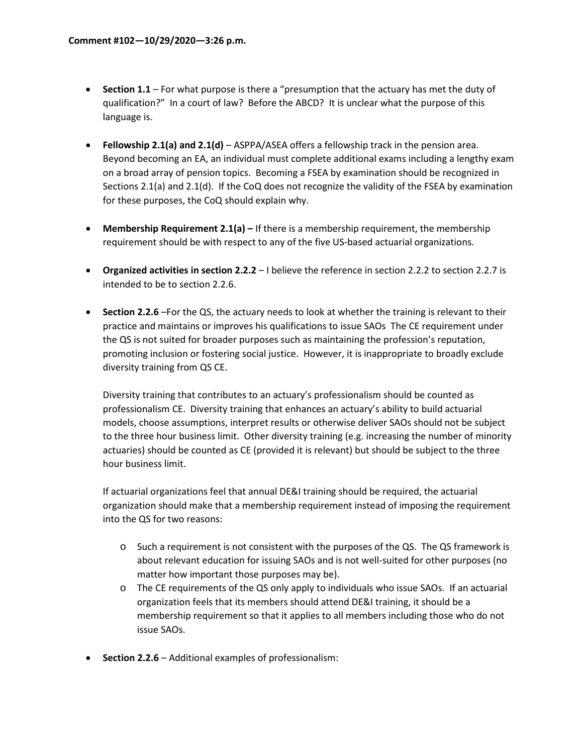- **Section 1.1**  For what purpose is there a "presumption that the actuary has met the duty of qualification?" In a court of law? Before the ABCD? It is unclear what the purpose of this language is.
- **Fellowship 2.1(a) and 2.1(d)** ASPPA/ASEA offers a fellowship track in the pension area. Beyond becoming an EA, an individual must complete additional exams including a lengthy exam on a broad array of pension topics. Becoming a FSEA by examination should be recognized in Sections 2.1(a) and 2.1(d). If the CoQ does not recognize the validity of the FSEA by examination for these purposes, the CoQ should explain why.
- **Membership Requirement 2.1(a) –** If there is a membership requirement, the membership requirement should be with respect to any of the five US-based actuarial organizations.
- **Organized activities in section 2.2.2** I believe the reference in section 2.2.2 to section 2.2.7 is intended to be to section 2.2.6.
- **Section 2.2.6** –For the QS, the actuary needs to look at whether the training is relevant to their practice and maintains or improves his qualifications to issue SAOs The CE requirement under the QS is not suited for broader purposes such as maintaining the profession's reputation, promoting inclusion or fostering social justice. However, it is inappropriate to broadly exclude diversity training from QS CE.

Diversity training that contributes to an actuary's professionalism should be counted as professionalism CE. Diversity training that enhances an actuary's ability to build actuarial models, choose assumptions, interpret results or otherwise deliver SAOs should not be subject to the three hour business limit. Other diversity training (e.g. increasing the number of minority actuaries) should be counted as CE (provided it is relevant) but should be subject to the three hour business limit.

If actuarial organizations feel that annual DE&I training should be required, the actuarial organization should make that a membership requirement instead of imposing the requirement into the QS for two reasons:

- o Such a requirement is not consistent with the purposes of the QS. The QS framework is about relevant education for issuing SAOs and is not well-suited for other purposes (no matter how important those purposes may be).
- o The CE requirements of the QS only apply to individuals who issue SAOs. If an actuarial organization feels that its members should attend DE&I training, it should be a membership requirement so that it applies to all members including those who do not issue SAOs.
- **Section 2.2.6** Additional examples of professionalism: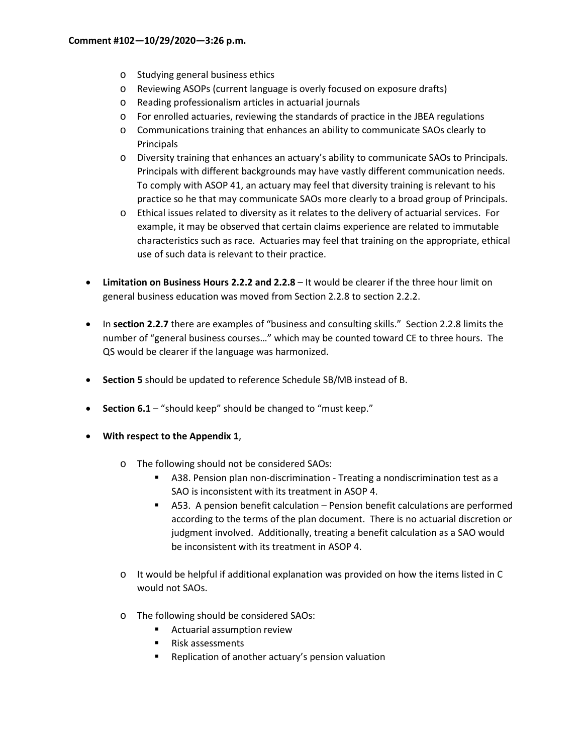- o Studying general business ethics
- o Reviewing ASOPs (current language is overly focused on exposure drafts)
- o Reading professionalism articles in actuarial journals
- o For enrolled actuaries, reviewing the standards of practice in the JBEA regulations
- o Communications training that enhances an ability to communicate SAOs clearly to Principals
- o Diversity training that enhances an actuary's ability to communicate SAOs to Principals. Principals with different backgrounds may have vastly different communication needs. To comply with ASOP 41, an actuary may feel that diversity training is relevant to his practice so he that may communicate SAOs more clearly to a broad group of Principals.
- o Ethical issues related to diversity as it relates to the delivery of actuarial services. For example, it may be observed that certain claims experience are related to immutable characteristics such as race. Actuaries may feel that training on the appropriate, ethical use of such data is relevant to their practice.
- **Limitation on Business Hours 2.2.2 and 2.2.8**  It would be clearer if the three hour limit on general business education was moved from Section 2.2.8 to section 2.2.2.
- In **section 2.2.7** there are examples of "business and consulting skills." Section 2.2.8 limits the number of "general business courses…" which may be counted toward CE to three hours. The QS would be clearer if the language was harmonized.
- **Section 5** should be updated to reference Schedule SB/MB instead of B.
- **Section 6.1** "should keep" should be changed to "must keep."
- **With respect to the Appendix 1**,
	- o The following should not be considered SAOs:
		- A38. Pension plan non-discrimination Treating a nondiscrimination test as a SAO is inconsistent with its treatment in ASOP 4.
		- A53. A pension benefit calculation Pension benefit calculations are performed according to the terms of the plan document. There is no actuarial discretion or judgment involved. Additionally, treating a benefit calculation as a SAO would be inconsistent with its treatment in ASOP 4.
	- $\circ$  It would be helpful if additional explanation was provided on how the items listed in C would not SAOs.
	- o The following should be considered SAOs:
		- **EXECUTE:** Actuarial assumption review
		- **Risk assessments**
		- **Replication of another actuary's pension valuation**